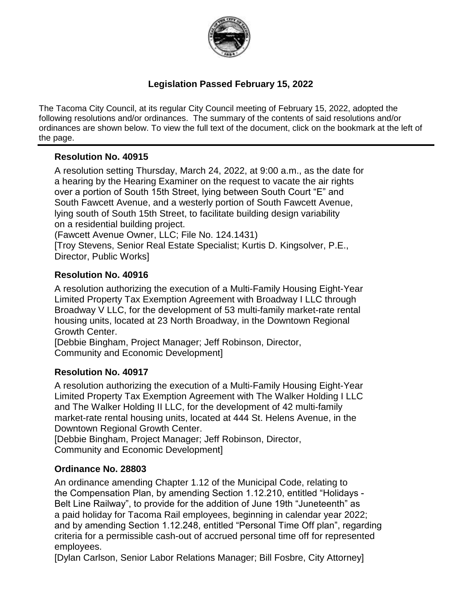

### **Legislation Passed February 15, 2022**

The Tacoma City Council, at its regular City Council meeting of February 15, 2022, adopted the following resolutions and/or ordinances. The summary of the contents of said resolutions and/or ordinances are shown below. To view the full text of the document, click on the bookmark at the left of the page.

### **Resolution No. 40915**

A resolution setting Thursday, March 24, 2022, at 9:00 a.m., as the date for a hearing by the Hearing Examiner on the request to vacate the air rights over a portion of South 15th Street, lying between South Court "E" and South Fawcett Avenue, and a westerly portion of South Fawcett Avenue, lying south of South 15th Street, to facilitate building design variability on a residential building project.

(Fawcett Avenue Owner, LLC; File No. 124.1431)

[Troy Stevens, Senior Real Estate Specialist; Kurtis D. Kingsolver, P.E., Director, Public Works]

### **Resolution No. 40916**

A resolution authorizing the execution of a Multi-Family Housing Eight-Year Limited Property Tax Exemption Agreement with Broadway I LLC through Broadway V LLC, for the development of 53 multi-family market-rate rental housing units, located at 23 North Broadway, in the Downtown Regional Growth Center.

[Debbie Bingham, Project Manager; Jeff Robinson, Director, Community and Economic Development]

#### **Resolution No. 40917**

A resolution authorizing the execution of a Multi-Family Housing Eight-Year Limited Property Tax Exemption Agreement with The Walker Holding I LLC and The Walker Holding II LLC, for the development of 42 multi-family market-rate rental housing units, located at 444 St. Helens Avenue, in the Downtown Regional Growth Center.

[Debbie Bingham, Project Manager; Jeff Robinson, Director, Community and Economic Development]

### **Ordinance No. 28803**

An ordinance amending Chapter 1.12 of the Municipal Code, relating to the Compensation Plan, by amending Section 1.12.210, entitled "Holidays - Belt Line Railway", to provide for the addition of June 19th "Juneteenth" as a paid holiday for Tacoma Rail employees, beginning in calendar year 2022; and by amending Section 1.12.248, entitled "Personal Time Off plan", regarding criteria for a permissible cash-out of accrued personal time off for represented employees.

[Dylan Carlson, Senior Labor Relations Manager; Bill Fosbre, City Attorney]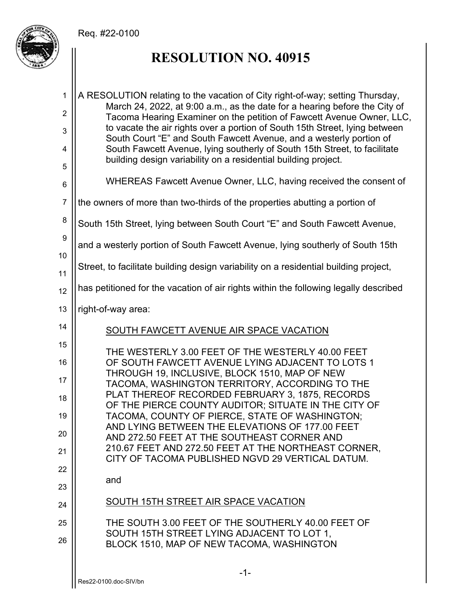

# **RESOLUTION NO. 40915**

| $\mathbf{1}$   | A RESOLUTION relating to the vacation of City right-of-way; setting Thursday,<br>March 24, 2022, at 9:00 a.m., as the date for a hearing before the City of |
|----------------|-------------------------------------------------------------------------------------------------------------------------------------------------------------|
| $\overline{2}$ | Tacoma Hearing Examiner on the petition of Fawcett Avenue Owner, LLC,                                                                                       |
| 3              | to vacate the air rights over a portion of South 15th Street, lying between<br>South Court "E" and South Fawcett Avenue, and a westerly portion of          |
| 4              | South Fawcett Avenue, lying southerly of South 15th Street, to facilitate                                                                                   |
| 5              | building design variability on a residential building project.                                                                                              |
| 6              | WHEREAS Fawcett Avenue Owner, LLC, having received the consent of                                                                                           |
| $\overline{7}$ | the owners of more than two-thirds of the properties abutting a portion of                                                                                  |
| 8              | South 15th Street, lying between South Court "E" and South Fawcett Avenue,                                                                                  |
| 9<br>10        | and a westerly portion of South Fawcett Avenue, lying southerly of South 15th                                                                               |
| 11             | Street, to facilitate building design variability on a residential building project,                                                                        |
| 12             | has petitioned for the vacation of air rights within the following legally described                                                                        |
| 13             | right-of-way area:                                                                                                                                          |
| 14             | SOUTH FAWCETT AVENUE AIR SPACE VACATION                                                                                                                     |
| 15             | THE WESTERLY 3.00 FEET OF THE WESTERLY 40.00 FEET                                                                                                           |
| 16             | OF SOUTH FAWCETT AVENUE LYING ADJACENT TO LOTS 1<br>THROUGH 19, INCLUSIVE, BLOCK 1510, MAP OF NEW                                                           |
| 17             | TACOMA, WASHINGTON TERRITORY, ACCORDING TO THE                                                                                                              |
| 18             | PLAT THEREOF RECORDED FEBRUARY 3, 1875, RECORDS<br>OF THE PIERCE COUNTY AUDITOR; SITUATE IN THE CITY OF                                                     |
| 19             | TACOMA, COUNTY OF PIERCE, STATE OF WASHINGTON;                                                                                                              |
| 20             | AND LYING BETWEEN THE ELEVATIONS OF 177.00 FEET<br>AND 272.50 FEET AT THE SOUTHEAST CORNER AND                                                              |
| 21             | 210.67 FEET AND 272.50 FEET AT THE NORTHEAST CORNER,<br>CITY OF TACOMA PUBLISHED NGVD 29 VERTICAL DATUM.                                                    |
| 22             |                                                                                                                                                             |
| 23             | and                                                                                                                                                         |
| 24             | SOUTH 15TH STREET AIR SPACE VACATION                                                                                                                        |
| 25             | THE SOUTH 3.00 FEET OF THE SOUTHERLY 40.00 FEET OF                                                                                                          |
| 26             | SOUTH 15TH STREET LYING ADJACENT TO LOT 1,<br>BLOCK 1510, MAP OF NEW TACOMA, WASHINGTON                                                                     |
|                | $-1-$                                                                                                                                                       |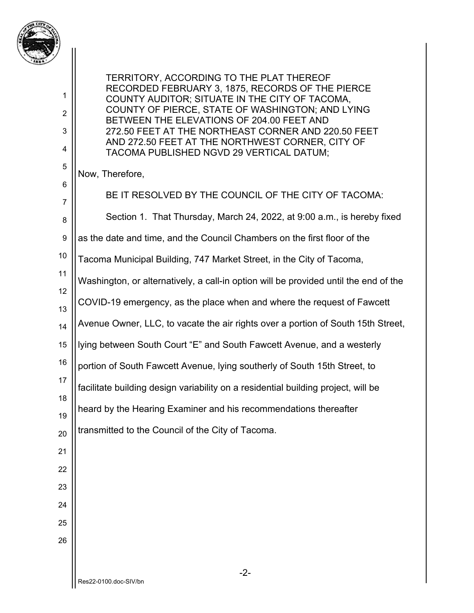

1

2

3

4

5

6

TERRITORY, ACCORDING TO THE PLAT THEREOF RECORDED FEBRUARY 3, 1875, RECORDS OF THE PIERCE COUNTY AUDITOR; SITUATE IN THE CITY OF TACOMA, COUNTY OF PIERCE, STATE OF WASHINGTON; AND LYING BETWEEN THE ELEVATIONS OF 204.00 FEET AND 272.50 FEET AT THE NORTHEAST CORNER AND 220.50 FEET AND 272.50 FEET AT THE NORTHWEST CORNER, CITY OF TACOMA PUBLISHED NGVD 29 VERTICAL DATUM;

Now, Therefore,

7 8 9 10 11 12 13 14 15 16 17 18 19 20 21 22 23 24 25 26 BE IT RESOLVED BY THE COUNCIL OF THE CITY OF TACOMA: Section 1. That Thursday, March 24, 2022, at 9:00 a.m., is hereby fixed as the date and time, and the Council Chambers on the first floor of the Tacoma Municipal Building, 747 Market Street, in the City of Tacoma, Washington, or alternatively, a call-in option will be provided until the end of the COVID-19 emergency, as the place when and where the request of Fawcett Avenue Owner, LLC, to vacate the air rights over a portion of South 15th Street, lying between South Court "E" and South Fawcett Avenue, and a westerly portion of South Fawcett Avenue, lying southerly of South 15th Street, to facilitate building design variability on a residential building project, will be heard by the Hearing Examiner and his recommendations thereafter transmitted to the Council of the City of Tacoma.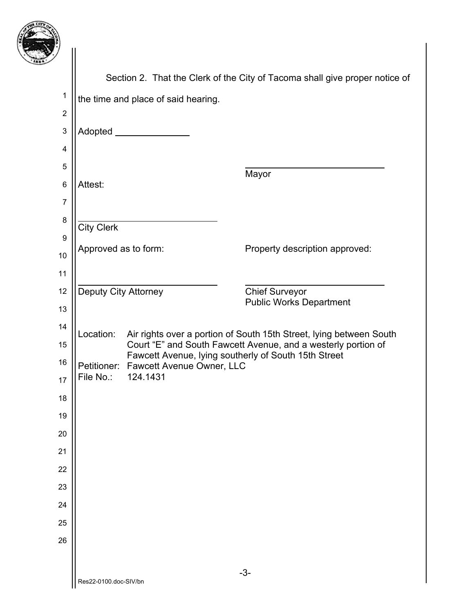

|                 | Section 2. That the Clerk of the City of Tacoma shall give proper notice of |                                                   |                                                                                                                       |
|-----------------|-----------------------------------------------------------------------------|---------------------------------------------------|-----------------------------------------------------------------------------------------------------------------------|
| $\mathbf 1$     | the time and place of said hearing.                                         |                                                   |                                                                                                                       |
| $\overline{2}$  |                                                                             |                                                   |                                                                                                                       |
| 3               |                                                                             | Adopted _____________                             |                                                                                                                       |
| 4               |                                                                             |                                                   |                                                                                                                       |
| 5               |                                                                             |                                                   | Mayor                                                                                                                 |
| $6\phantom{1}6$ | Attest:                                                                     |                                                   |                                                                                                                       |
| $\overline{7}$  |                                                                             |                                                   |                                                                                                                       |
| 8               | <b>City Clerk</b>                                                           |                                                   |                                                                                                                       |
| 9               | Approved as to form:                                                        |                                                   | Property description approved:                                                                                        |
| 10              |                                                                             |                                                   |                                                                                                                       |
| 11              |                                                                             |                                                   |                                                                                                                       |
| 12              | <b>Deputy City Attorney</b>                                                 |                                                   | <b>Chief Surveyor</b><br><b>Public Works Department</b>                                                               |
| 13              |                                                                             |                                                   |                                                                                                                       |
| 14              | Location:                                                                   |                                                   | Air rights over a portion of South 15th Street, lying between South                                                   |
| 15              |                                                                             |                                                   | Court "E" and South Fawcett Avenue, and a westerly portion of<br>Fawcett Avenue, lying southerly of South 15th Street |
| 16<br>17        | File No.:                                                                   | Petitioner: Fawcett Avenue Owner, LLC<br>124.1431 |                                                                                                                       |
| 18              |                                                                             |                                                   |                                                                                                                       |
| 19              |                                                                             |                                                   |                                                                                                                       |
| 20              |                                                                             |                                                   |                                                                                                                       |
| 21              |                                                                             |                                                   |                                                                                                                       |
| 22              |                                                                             |                                                   |                                                                                                                       |
| 23              |                                                                             |                                                   |                                                                                                                       |
| 24              |                                                                             |                                                   |                                                                                                                       |
| 25              |                                                                             |                                                   |                                                                                                                       |
| 26              |                                                                             |                                                   |                                                                                                                       |
|                 |                                                                             |                                                   |                                                                                                                       |
|                 | Res22-0100.doc-SIV/bn                                                       |                                                   | $-3-$                                                                                                                 |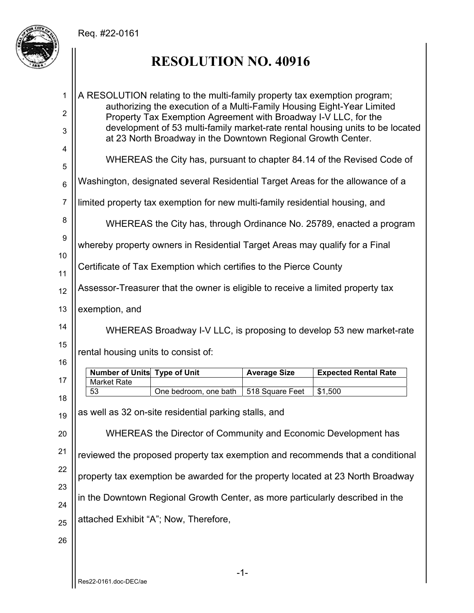

# **RESOLUTION NO. 40916**

| 1                   | A RESOLUTION relating to the multi-family property tax exemption program;<br>authorizing the execution of a Multi-Family Housing Eight-Year Limited                                                              |                     |                             |  |
|---------------------|------------------------------------------------------------------------------------------------------------------------------------------------------------------------------------------------------------------|---------------------|-----------------------------|--|
| $\overline{2}$<br>3 | Property Tax Exemption Agreement with Broadway I-V LLC, for the<br>development of 53 multi-family market-rate rental housing units to be located<br>at 23 North Broadway in the Downtown Regional Growth Center. |                     |                             |  |
| 4<br>5              | WHEREAS the City has, pursuant to chapter 84.14 of the Revised Code of                                                                                                                                           |                     |                             |  |
| $\,6$               | Washington, designated several Residential Target Areas for the allowance of a                                                                                                                                   |                     |                             |  |
| $\overline{7}$      | limited property tax exemption for new multi-family residential housing, and                                                                                                                                     |                     |                             |  |
| 8                   | WHEREAS the City has, through Ordinance No. 25789, enacted a program                                                                                                                                             |                     |                             |  |
| 9                   | whereby property owners in Residential Target Areas may qualify for a Final                                                                                                                                      |                     |                             |  |
| 10                  | Certificate of Tax Exemption which certifies to the Pierce County                                                                                                                                                |                     |                             |  |
| 11                  |                                                                                                                                                                                                                  |                     |                             |  |
| 12<br>13            | Assessor-Treasurer that the owner is eligible to receive a limited property tax                                                                                                                                  |                     |                             |  |
| 14                  | exemption, and                                                                                                                                                                                                   |                     |                             |  |
|                     | WHEREAS Broadway I-V LLC, is proposing to develop 53 new market-rate                                                                                                                                             |                     |                             |  |
|                     | rental housing units to consist of:                                                                                                                                                                              |                     |                             |  |
| 15                  |                                                                                                                                                                                                                  |                     |                             |  |
| 16                  | Number of Units Type of Unit                                                                                                                                                                                     | <b>Average Size</b> | <b>Expected Rental Rate</b> |  |
| 17                  | <b>Market Rate</b><br>53<br>One bedroom, one bath                                                                                                                                                                | 518 Square Feet     | \$1,500                     |  |
| 18<br>19            | as well as 32 on-site residential parking stalls, and                                                                                                                                                            |                     |                             |  |
| 20                  | WHEREAS the Director of Community and Economic Development has                                                                                                                                                   |                     |                             |  |
| 21                  | reviewed the proposed property tax exemption and recommends that a conditional                                                                                                                                   |                     |                             |  |
| 22                  |                                                                                                                                                                                                                  |                     |                             |  |
| 23                  | property tax exemption be awarded for the property located at 23 North Broadway                                                                                                                                  |                     |                             |  |
| 24                  | in the Downtown Regional Growth Center, as more particularly described in the                                                                                                                                    |                     |                             |  |
| 25                  | attached Exhibit "A"; Now, Therefore,                                                                                                                                                                            |                     |                             |  |
| 26                  |                                                                                                                                                                                                                  |                     |                             |  |
|                     | $-1-$                                                                                                                                                                                                            |                     |                             |  |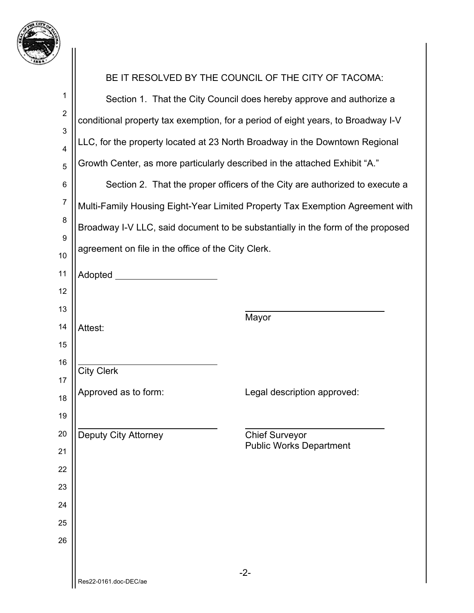

| ! '                          |                                                                                  |                                                                               |  |
|------------------------------|----------------------------------------------------------------------------------|-------------------------------------------------------------------------------|--|
|                              |                                                                                  | BE IT RESOLVED BY THE COUNCIL OF THE CITY OF TACOMA:                          |  |
| 1                            | Section 1. That the City Council does hereby approve and authorize a             |                                                                               |  |
| $\boldsymbol{2}$             | conditional property tax exemption, for a period of eight years, to Broadway I-V |                                                                               |  |
| 3                            | LLC, for the property located at 23 North Broadway in the Downtown Regional      |                                                                               |  |
| $\overline{\mathbf{4}}$<br>5 | Growth Center, as more particularly described in the attached Exhibit "A."       |                                                                               |  |
| $\,6$                        | Section 2. That the proper officers of the City are authorized to execute a      |                                                                               |  |
| $\boldsymbol{7}$             |                                                                                  | Multi-Family Housing Eight-Year Limited Property Tax Exemption Agreement with |  |
| 8                            |                                                                                  |                                                                               |  |
| $\boldsymbol{9}$             | Broadway I-V LLC, said document to be substantially in the form of the proposed  |                                                                               |  |
| 10                           | agreement on file in the office of the City Clerk.                               |                                                                               |  |
| 11                           | Adopted __________                                                               |                                                                               |  |
| 12                           |                                                                                  |                                                                               |  |
| 13                           |                                                                                  | Mayor                                                                         |  |
| 14                           | Attest:                                                                          |                                                                               |  |
| 15<br>16                     |                                                                                  |                                                                               |  |
| 17                           | <b>City Clerk</b>                                                                |                                                                               |  |
| 18                           | Approved as to form:                                                             | Legal description approved:                                                   |  |
| 19                           |                                                                                  |                                                                               |  |
| 20                           | <b>Deputy City Attorney</b>                                                      | <b>Chief Surveyor</b>                                                         |  |
| 21                           |                                                                                  | <b>Public Works Department</b>                                                |  |
| 22                           |                                                                                  |                                                                               |  |
| 23                           |                                                                                  |                                                                               |  |
| 24                           |                                                                                  |                                                                               |  |
| 25                           |                                                                                  |                                                                               |  |
| 26                           |                                                                                  |                                                                               |  |
|                              |                                                                                  | $-2-$                                                                         |  |
|                              | Res22-0161.doc-DEC/ae                                                            |                                                                               |  |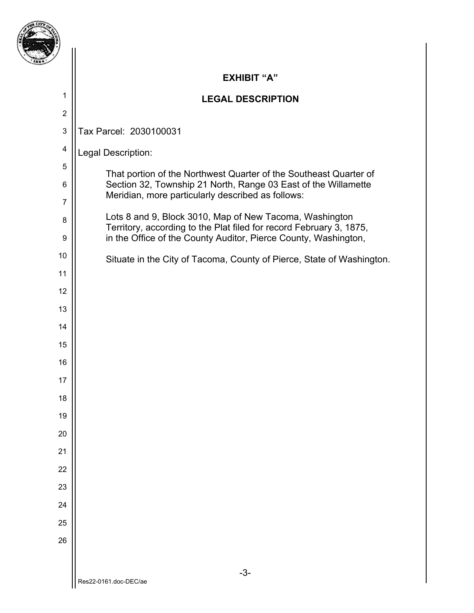|                     | <b>EXHIBIT "A"</b>                                                                                                                     |
|---------------------|----------------------------------------------------------------------------------------------------------------------------------------|
| 1                   | <b>LEGAL DESCRIPTION</b>                                                                                                               |
| $\overline{2}$      |                                                                                                                                        |
| $\mathbf{3}$        | Tax Parcel: 2030100031                                                                                                                 |
| 4                   | Legal Description:                                                                                                                     |
| $\mathbf 5$         | That portion of the Northwest Quarter of the Southeast Quarter of                                                                      |
| 6<br>$\overline{7}$ | Section 32, Township 21 North, Range 03 East of the Willamette<br>Meridian, more particularly described as follows:                    |
| 8                   | Lots 8 and 9, Block 3010, Map of New Tacoma, Washington                                                                                |
| 9                   | Territory, according to the Plat filed for record February 3, 1875,<br>in the Office of the County Auditor, Pierce County, Washington, |
| 10                  | Situate in the City of Tacoma, County of Pierce, State of Washington.                                                                  |
| 11                  |                                                                                                                                        |
| 12                  |                                                                                                                                        |
| 13                  |                                                                                                                                        |
| 14                  |                                                                                                                                        |
| 15                  |                                                                                                                                        |
| 16                  |                                                                                                                                        |
| 17                  |                                                                                                                                        |
| 18                  |                                                                                                                                        |
| 19                  |                                                                                                                                        |
| 20                  |                                                                                                                                        |
| 21                  |                                                                                                                                        |
| 22                  |                                                                                                                                        |
| 23                  |                                                                                                                                        |
| 24                  |                                                                                                                                        |
| 25                  |                                                                                                                                        |
| 26                  |                                                                                                                                        |
|                     |                                                                                                                                        |
|                     | $-3-$<br>Res22-0161.doc-DEC/ae                                                                                                         |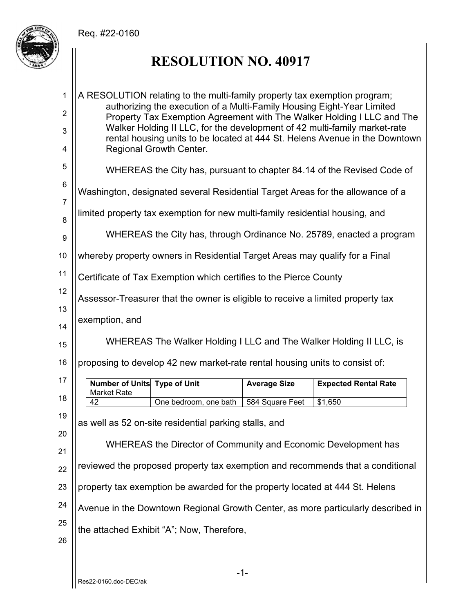

# **RESOLUTION NO. 40917**

| 1                | A RESOLUTION relating to the multi-family property tax exemption program;                                                                                |                                                                              |                     |                                                                                  |  |
|------------------|----------------------------------------------------------------------------------------------------------------------------------------------------------|------------------------------------------------------------------------------|---------------------|----------------------------------------------------------------------------------|--|
| $\boldsymbol{2}$ | authorizing the execution of a Multi-Family Housing Eight-Year Limited<br>Property Tax Exemption Agreement with The Walker Holding I LLC and The         |                                                                              |                     |                                                                                  |  |
| 3                | Walker Holding II LLC, for the development of 42 multi-family market-rate<br>rental housing units to be located at 444 St. Helens Avenue in the Downtown |                                                                              |                     |                                                                                  |  |
| 4                | Regional Growth Center.                                                                                                                                  |                                                                              |                     |                                                                                  |  |
| 5                | WHEREAS the City has, pursuant to chapter 84.14 of the Revised Code of                                                                                   |                                                                              |                     |                                                                                  |  |
| $\,6$            | Washington, designated several Residential Target Areas for the allowance of a                                                                           |                                                                              |                     |                                                                                  |  |
| $\overline{7}$   |                                                                                                                                                          | limited property tax exemption for new multi-family residential housing, and |                     |                                                                                  |  |
| 8                |                                                                                                                                                          |                                                                              |                     | WHEREAS the City has, through Ordinance No. 25789, enacted a program             |  |
| 9                |                                                                                                                                                          |                                                                              |                     |                                                                                  |  |
| 10               | whereby property owners in Residential Target Areas may qualify for a Final                                                                              |                                                                              |                     |                                                                                  |  |
| 11               |                                                                                                                                                          | Certificate of Tax Exemption which certifies to the Pierce County            |                     |                                                                                  |  |
| 12               | Assessor-Treasurer that the owner is eligible to receive a limited property tax                                                                          |                                                                              |                     |                                                                                  |  |
| 13<br>14         | exemption, and                                                                                                                                           |                                                                              |                     |                                                                                  |  |
| 15               |                                                                                                                                                          |                                                                              |                     |                                                                                  |  |
|                  | WHEREAS The Walker Holding I LLC and The Walker Holding II LLC, is<br>proposing to develop 42 new market-rate rental housing units to consist of:        |                                                                              |                     |                                                                                  |  |
| 16               |                                                                                                                                                          |                                                                              |                     |                                                                                  |  |
| 17               | <b>Number of Units Type of Unit</b><br>Market Rate                                                                                                       |                                                                              | <b>Average Size</b> | <b>Expected Rental Rate</b>                                                      |  |
| 18               | 42                                                                                                                                                       | One bedroom, one bath                                                        | 584 Square Feet     | \$1,650                                                                          |  |
| 19               | as well as 52 on-site residential parking stalls, and                                                                                                    |                                                                              |                     |                                                                                  |  |
| 20               | WHEREAS the Director of Community and Economic Development has                                                                                           |                                                                              |                     |                                                                                  |  |
| 21               |                                                                                                                                                          |                                                                              |                     |                                                                                  |  |
| 22               | reviewed the proposed property tax exemption and recommends that a conditional                                                                           |                                                                              |                     |                                                                                  |  |
| 23               | property tax exemption be awarded for the property located at 444 St. Helens                                                                             |                                                                              |                     |                                                                                  |  |
| 24               |                                                                                                                                                          |                                                                              |                     | Avenue in the Downtown Regional Growth Center, as more particularly described in |  |
| 25               | the attached Exhibit "A"; Now, Therefore,                                                                                                                |                                                                              |                     |                                                                                  |  |
| 26               |                                                                                                                                                          |                                                                              |                     |                                                                                  |  |
|                  |                                                                                                                                                          |                                                                              |                     |                                                                                  |  |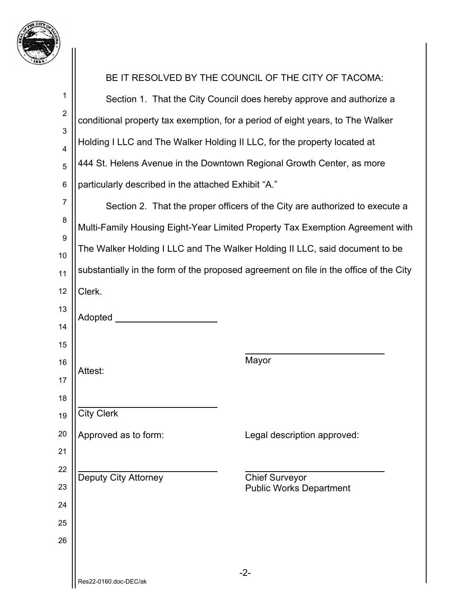

| ۰,             |                                                                                |                                                                                       |  |  |
|----------------|--------------------------------------------------------------------------------|---------------------------------------------------------------------------------------|--|--|
|                |                                                                                | BE IT RESOLVED BY THE COUNCIL OF THE CITY OF TACOMA:                                  |  |  |
| 1              | Section 1. That the City Council does hereby approve and authorize a           |                                                                                       |  |  |
| $\overline{c}$ | conditional property tax exemption, for a period of eight years, to The Walker |                                                                                       |  |  |
| 3<br>4         | Holding I LLC and The Walker Holding II LLC, for the property located at       |                                                                                       |  |  |
| 5              | 444 St. Helens Avenue in the Downtown Regional Growth Center, as more          |                                                                                       |  |  |
| 6              | particularly described in the attached Exhibit "A."                            |                                                                                       |  |  |
| 7              |                                                                                | Section 2. That the proper officers of the City are authorized to execute a           |  |  |
| 8              |                                                                                | Multi-Family Housing Eight-Year Limited Property Tax Exemption Agreement with         |  |  |
| 9              |                                                                                | The Walker Holding I LLC and The Walker Holding II LLC, said document to be           |  |  |
| 10<br>11       |                                                                                | substantially in the form of the proposed agreement on file in the office of the City |  |  |
| 12             | Clerk.                                                                         |                                                                                       |  |  |
| 13             |                                                                                |                                                                                       |  |  |
| 14             | Adopted ___                                                                    |                                                                                       |  |  |
| 15             |                                                                                |                                                                                       |  |  |
| 16             | Attest:                                                                        | Mayor                                                                                 |  |  |
| 17<br>18       |                                                                                |                                                                                       |  |  |
| 19             | <b>City Clerk</b>                                                              |                                                                                       |  |  |
| 20             | Approved as to form:                                                           | Legal description approved:                                                           |  |  |
| 21             |                                                                                |                                                                                       |  |  |
| 22             | <b>Deputy City Attorney</b>                                                    | <b>Chief Surveyor</b>                                                                 |  |  |
| 23             |                                                                                | <b>Public Works Department</b>                                                        |  |  |
| 24<br>25       |                                                                                |                                                                                       |  |  |
| 26             |                                                                                |                                                                                       |  |  |
|                |                                                                                |                                                                                       |  |  |
|                | Res22-0160.doc-DEC/ak                                                          | $-2-$                                                                                 |  |  |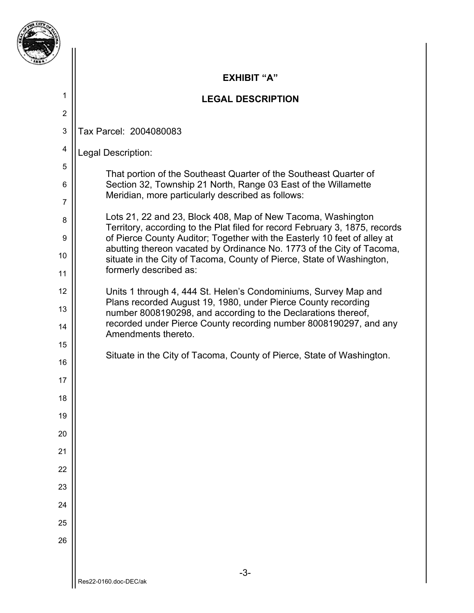

1

2

4

5

6

7

8

9

10

11

12

13

14

15

16

17

18

19

20

21

22

23

24

25

26

### **EXHIBIT "A"**

### **LEGAL DESCRIPTION**

3 Tax Parcel: 2004080083

Legal Description:

That portion of the Southeast Quarter of the Southeast Quarter of Section 32, Township 21 North, Range 03 East of the Willamette Meridian, more particularly described as follows:

Lots 21, 22 and 23, Block 408, Map of New Tacoma, Washington Territory, according to the Plat filed for record February 3, 1875, records of Pierce County Auditor; Together with the Easterly 10 feet of alley at abutting thereon vacated by Ordinance No. 1773 of the City of Tacoma, situate in the City of Tacoma, County of Pierce, State of Washington, formerly described as:

Units 1 through 4, 444 St. Helen's Condominiums, Survey Map and Plans recorded August 19, 1980, under Pierce County recording number 8008190298, and according to the Declarations thereof, recorded under Pierce County recording number 8008190297, and any Amendments thereto.

Situate in the City of Tacoma, County of Pierce, State of Washington.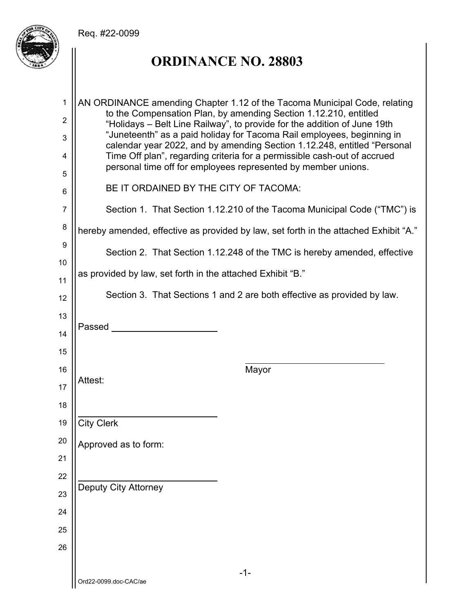

# **ORDINANCE NO. 28803**

| 1      | AN ORDINANCE amending Chapter 1.12 of the Tacoma Municipal Code, relating<br>to the Compensation Plan, by amending Section 1.12.210, entitled      |  |  |  |
|--------|----------------------------------------------------------------------------------------------------------------------------------------------------|--|--|--|
| 2      | "Holidays – Belt Line Railway", to provide for the addition of June 19th<br>"Juneteenth" as a paid holiday for Tacoma Rail employees, beginning in |  |  |  |
| 3      | calendar year 2022, and by amending Section 1.12.248, entitled "Personal                                                                           |  |  |  |
| 4      | Time Off plan", regarding criteria for a permissible cash-out of accrued<br>personal time off for employees represented by member unions.          |  |  |  |
| 5      | BE IT ORDAINED BY THE CITY OF TACOMA:                                                                                                              |  |  |  |
| 6<br>7 |                                                                                                                                                    |  |  |  |
| 8      | Section 1. That Section 1.12.210 of the Tacoma Municipal Code ("TMC") is                                                                           |  |  |  |
| 9      | hereby amended, effective as provided by law, set forth in the attached Exhibit "A."                                                               |  |  |  |
| 10     | Section 2. That Section 1.12.248 of the TMC is hereby amended, effective                                                                           |  |  |  |
| 11     | as provided by law, set forth in the attached Exhibit "B."                                                                                         |  |  |  |
| 12     | Section 3. That Sections 1 and 2 are both effective as provided by law.                                                                            |  |  |  |
| 13     |                                                                                                                                                    |  |  |  |
| 14     | Passed <b>Exercise Service Service Service</b>                                                                                                     |  |  |  |
| 15     |                                                                                                                                                    |  |  |  |
| 16     | Mayor                                                                                                                                              |  |  |  |
| 17     | Attest:                                                                                                                                            |  |  |  |
| 18     |                                                                                                                                                    |  |  |  |
| 19     | <b>City Clerk</b>                                                                                                                                  |  |  |  |
| 20     | Approved as to form:                                                                                                                               |  |  |  |
| 21     |                                                                                                                                                    |  |  |  |
| 22     |                                                                                                                                                    |  |  |  |
| 23     | <b>Deputy City Attorney</b>                                                                                                                        |  |  |  |
| 24     |                                                                                                                                                    |  |  |  |
| 25     |                                                                                                                                                    |  |  |  |
| 26     |                                                                                                                                                    |  |  |  |
|        | $-1-$                                                                                                                                              |  |  |  |
|        | Ord22-0099.doc-CAC/ae                                                                                                                              |  |  |  |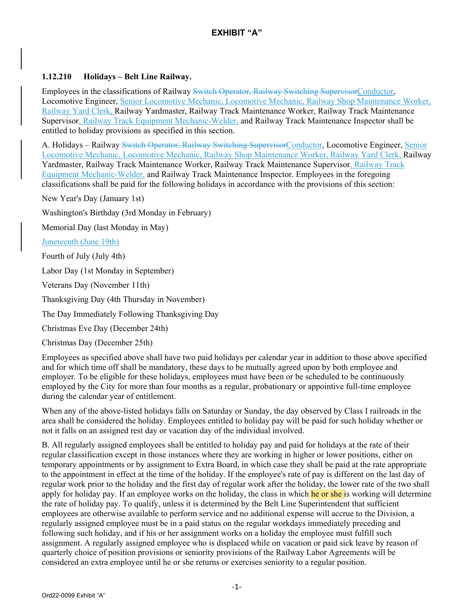#### **1.12.210 Holidays – Belt Line Railway.**

Employees in the classifications of Railway Switch Operator, Railway Switching SupervisorConductor, Locomotive Engineer, Senior Locomotive Mechanic, Locomotive Mechanic, Railway Shop Maintenance Worker, Railway Yard Clerk, Railway Yardmaster, Railway Track Maintenance Worker, Railway Track Maintenance Supervisor, Railway Track Equipment Mechanic-Welder, and Railway Track Maintenance Inspector shall be entitled to holiday provisions as specified in this section.

A. Holidays – Railway Switch Operator, Railway Switching SupervisorConductor, Locomotive Engineer, Senior Locomotive Mechanic, Locomotive Mechanic, Railway Shop Maintenance Worker, Railway Yard Clerk, Railway Yardmaster, Railway Track Maintenance Worker, Railway Track Maintenance Supervisor, Railway Track Equipment Mechanic-Welder, and Railway Track Maintenance Inspector. Employees in the foregoing classifications shall be paid for the following holidays in accordance with the provisions of this section:

New Year's Day (January 1st)

Washington's Birthday (3rd Monday in February)

Memorial Day (last Monday in May)

Juneteenth (June 19th)

Fourth of July (July 4th)

Labor Day (1st Monday in September)

Veterans Day (November 11th)

Thanksgiving Day (4th Thursday in November)

The Day Immediately Following Thanksgiving Day

Christmas Eve Day (December 24th)

Christmas Day (December 25th)

Employees as specified above shall have two paid holidays per calendar year in addition to those above specified and for which time off shall be mandatory, these days to be mutually agreed upon by both employee and employer. To be eligible for these holidays, employees must have been or be scheduled to be continuously employed by the City for more than four months as a regular, probationary or appointive full-time employee during the calendar year of entitlement.

When any of the above-listed holidays falls on Saturday or Sunday, the day observed by Class I railroads in the area shall be considered the holiday. Employees entitled to holiday pay will be paid for such holiday whether or not it falls on an assigned rest day or vacation day of the individual involved.

B. All regularly assigned employees shall be entitled to holiday pay and paid for holidays at the rate of their regular classification except in those instances where they are working in higher or lower positions, either on temporary appointments or by assignment to Extra Board, in which case they shall be paid at the rate appropriate to the appointment in effect at the time of the holiday. If the employee's rate of pay is different on the last day of regular work prior to the holiday and the first day of regular work after the holiday, the lower rate of the two shall apply for holiday pay. If an employee works on the holiday, the class in which he or she is working will determine the rate of holiday pay. To qualify, unless it is determined by the Belt Line Superintendent that sufficient employees are otherwise available to perform service and no additional expense will accrue to the Division, a regularly assigned employee must be in a paid status on the regular workdays immediately preceding and following such holiday, and if his or her assignment works on a holiday the employee must fulfill such assignment. A regularly assigned employee who is displaced while on vacation or paid sick leave by reason of quarterly choice of position provisions or seniority provisions of the Railway Labor Agreements will be considered an extra employee until he or she returns or exercises seniority to a regular position.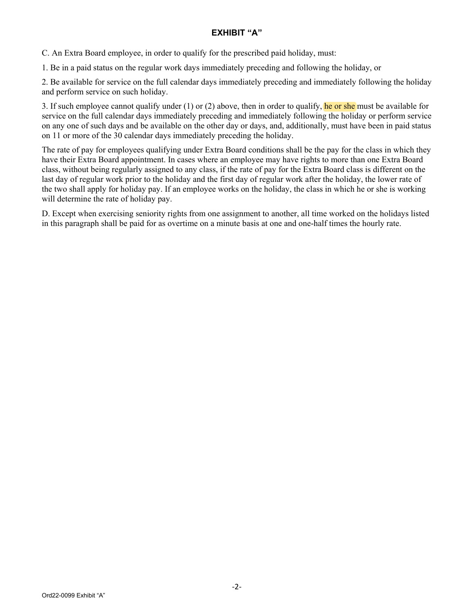#### **EXHIBIT "A"**

C. An Extra Board employee, in order to qualify for the prescribed paid holiday, must:

1. Be in a paid status on the regular work days immediately preceding and following the holiday, or

2. Be available for service on the full calendar days immediately preceding and immediately following the holiday and perform service on such holiday.

3. If such employee cannot qualify under (1) or (2) above, then in order to qualify, he or she must be available for service on the full calendar days immediately preceding and immediately following the holiday or perform service on any one of such days and be available on the other day or days, and, additionally, must have been in paid status on 11 or more of the 30 calendar days immediately preceding the holiday.

The rate of pay for employees qualifying under Extra Board conditions shall be the pay for the class in which they have their Extra Board appointment. In cases where an employee may have rights to more than one Extra Board class, without being regularly assigned to any class, if the rate of pay for the Extra Board class is different on the last day of regular work prior to the holiday and the first day of regular work after the holiday, the lower rate of the two shall apply for holiday pay. If an employee works on the holiday, the class in which he or she is working will determine the rate of holiday pay.

D. Except when exercising seniority rights from one assignment to another, all time worked on the holidays listed in this paragraph shall be paid for as overtime on a minute basis at one and one-half times the hourly rate.